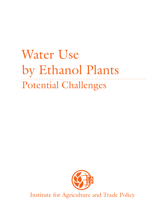# Water Use by Ethanol Plants Potential Challenges



Institute for Agriculture and Trade Policy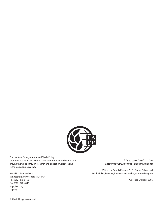

The Institute for Agriculture and Trade Policy promotes resilient family farms, rural communities and ecosystems around the world through research and education, science and technology, and advocacy.

2105 First Avenue South Minneapolis, Minnesota 55404 USA Tel.: (612) 870-0453 Fax: (612) 870-4846 iatp@iatp.org iatp.org

*About this publication* Water Use by Ethanol Plants: Potential Challenges

Written by Dennis Keeney, Ph.D., Senior Fellow and Mark Muller, Director, Environment and Agriculture Program

Published October 2006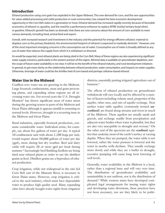### **Introduction**

Ethanol production using corn grain has exploded in the Upper Midwest. This new demand for corn, and the new opportunities for value-added processing and cattle production in rural communities, has created the best economic development opportunity in the Corn Belt states in a generation or more. Ethanol demand has increased rapidly recently because of favorable economics of ethanol vs. gasoline, and the need for a performance enhancer to replace MTBE (methyl tertiary-butyl ether) in gasoline. Ethanol's growth has been so dramatic that there are now concerns about the amount of corn available to meet various demands, including food, animal feed and export.

Overall, with increased research and investment in the industry and the potential for energy-efficient cellulosic material to displace corn as the primary feedstock, the environmental footprint of ethanol is expected to markedly diminish.<sup>1</sup> However, one of the most important emerging concerns is the consumptive use of water. Consumptive use of water is broadly defined as any use of water that reduces the supply from which it is withdrawn or diverted.

As would be expected, most ethanol plants are being sited in the Corn Belt. Many of these regions are also experiencing significant water supply concerns, particularly in the western portion of the region. Minimal data is available on groundwater depletion, and the scope of future water availability is not clear. It will be to the benefit of the ethanol industry, and rural development initiatives in general, to get more clarity on the relationship between ethanol production, water consumption, and impacts on water supplies. Otherwise, shortage of water could be the Achilles heel of corn-based and perhaps cellulose-based ethanol.

#### **Water Use in the Midwest**

Conflicts over water use are growing in the Midwest. Large livestock confinements, meat and grain processing plants, and expanding urban regions are all increasing water use. For several years the U.S. Drought Monitor2 has shown significant areas of water stress during the growing season in parts of the Midwest and Great Plains although it appears rainfall is returning to normal levels. However, drought is a recurring issue in the Midwest and Great Plains.

Rural industries, especially livestock production, consume considerable water. Individual swine, for example, use about five gallons of water per day. A typical 10-confinement unit with about 1,100 hogs per unit, would require about 50,000 gallons of water per day (gpd), more during hot dry weather. Beef and dairy cattle will require 20 or more gpd per head during summer.<sup>3</sup> Increasingly beef finishing feedlots are being sited near ethanol plants in order to use the distillers grains as feed. Distillers grains are a byproduct of ethanol production.

Crop irrigation, while not widespread in the rain fed Corn Belt east of the Missouri River, is necessary in Great Plains states. However, crop irrigation is critical to the seed industry, which must have dependable water to produce high quality seed. Many expanding cities have already bought water rights from irrigation districts, essentially putting irrigated agriculture out of business.4

The effects of ethanol production on groundwater withdrawals will vary locally and be affected by a number of factors including volume used, properties of the aquifer, other uses, and rate of aquifer recharge. Near surface water table aquifers (commonly termed **unconfined**) are found along streams and rivers in much of the Midwest. These aquifers are usually sands and gravels, and recharge readily from precipitation and adjacent water bodies when water is plentiful, but they are also very susceptible to drought and overuse.5 On the other end of the spectrum are the **confined** aquifers that underlay most of the earth's surface at varying depths. When they are pumped, the water table is not lowered, rather the water pressure is lowered and the water in nearby wells declines. They usually recharge more slowly and while they are a buffer to drought, excessive pumping will cause long term lowering of well levels.

Generally, water availability in the Midwest is a local, rather than a regional issue and will vary over time. The distribution of groundwater availability and sustainability is not uniform, nor is the distribution of demand.6 While western states have developed complicated legal arrangements for issuing water rights and developing water diversions, these practices have not been necessary, nor are they likely to be politi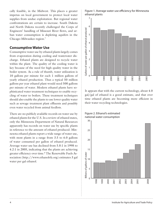cally feasible, in the Midwest. This places a greater impetus on local government to protect local water supplies from undue exploitation. But regional water confrontations are certain to increase. South Dakota and North Dakota recently challenged the Corps of Engineers' handling of Missouri River flows, and urban water consumption is depleting aquifers in the Chicago-Milwaukee region.7

#### **Consumptive Water Use**

Consumptive water use by ethanol plants largely comes from evaporation during cooling and wastewater discharge. Ethanol plants are designed to recycle water within the plant. The quality of the cooling water is key because of the need for high quality water in the boiler system. As a rule of thumb, water utilization is 10 gallons per minute for each 1 million gallons of yearly ethanol production. Thus a typical 50 million gallons per year ethanol plant would need 500 gallons per minute of water. Modern ethanol plants have sophisticated water treatment techniques to enable recycling of water to boilers. These treatment techniques should also enable the plants to use lower quality water such as sewage treatment plant effluents and possibly even water recycled from animal feedlots.

There are no publicly available records on water use by ethanol plants for the U.S. In a review of ethanol states, only the Minnesota Department of Natural Resources apparently has records on water use by specific plants in reference to the amount of ethanol produced. Minnesota ethanol plants report a wide range of water use, with most plants in a range from 3.5 to 6.0 gallons of water consumed per gallon of ethanol produced. Average water use has declined from 5.8:1 in 1998 to 4.2:1 in 2005, indicating that the plants are achieving greater efficiency over time.8 The Renewable Fuels Association (http://www.ethanolrfa.org) estimates 3 gal water per gal ethanol.

Figure 1. Average water use efficiency for Minnesota ethanol plants



It appears that with the current technology, about 4.0 gal/gal of ethanol is a good estimate, and that over time ethanol plants are becoming more efficient in their water recycling technologies.



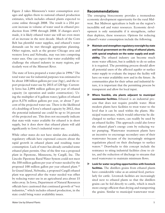Figure 2 takes Minnesota's water consumption averages and applies them to national ethanol production estimates, which includes ethanol plants expected to come online through 2008. The result is a 254 percent increase in volume of water used in ethanol production from 1998 through 2008. If changes aren't made, it is likely ethanol water use will see even more of an increase in the next decade. Much of the Corn Belt has plentiful water supplies, and ethanol's water demands can be met through appropriate planning. Other regions, such as the greater Chicago area and western Iowa and Nebraska, may run into competing water uses. One can expect that water availability will challenge the ethanol industry in many regions, particularly west of the Missouri River.

The state of Iowa prepared a water plan in 1996.<sup>9</sup> The total water use for industrial purposes was estimated to be about 108 billion gallons per year (bgy), and the report projected water use by 2015 of 120 bgy. Currently Iowa has 2,094 million gallons per year of ethanol capacity (in operation and under construction). Using the multiplier of 4 gallons water/gallon of ethanol gives 8,376 million gallons per year, or about 7 percent of the projected water use. There is the likelihood of a doubling of Iowa's ethanol capacity by 2012, thus the potential industrial use could be up to 14 percent of the projected use. This does not necessarily indicate that state-wide water available for ethanol is in short supply, but it does show that ethanol plants will add significantly to Iowa's industrial water use.

While other states do not have similar data available, regulatory officials have expressed concern about the rapid growth in ethanol plants and resulting water consumption. Lack of water has already curtailed some ethanol plant permits. One of the first was a proposed plant in Pipestone, Minnesota, by Cargill, Inc. The Lincoln-Pipestone Rural Water System could not meet the 350 million gallons per year of water needed by the proposed 100 million gallon per year ethanol plant.<sup>10</sup> In Grand Island, Nebraska, a proposed Cargill ethanol plant was approved after the water needed was offset by reducing water use in an agricultural area about 15 miles away. In Iowa, Department of Natural Resources officials have cautioned that continued growth of "wet industries," which includes ethanol production, in the state could bring water availability issues.

#### **Recommendations**

The emerging bioeconomy provides a tremendous economic development opportunity for the rural Midwest. But Midwest agriculture is built on the region's incredible soil and water resources. Economic development is only sustainable if it strengthens, rather than depletes, these resources. Options for reducing ethanol's water consumption include the following.

- **Maintain and strengthen regulatory oversight by state and local government on the siting of ethanol plants, with special emphasis on the water supply and avail**ability. The ethanol industry can become much more water efficient, but is unlikely to do so unless it is required. The permitting process should allow all potential users of the affected aquifer or surface water supply to evaluate the impact the facility will have on water availability now and in the future. As communities plan for their urban and industrial future, it is important that the permitting process be transparent and allow for local input.
- **Where feasible, site plants adjacent to municipal wastewater facilities.** Ethanol is an industrial process that does not require potable water. Most modern plants have facilities to treat water to the level that it can be used within the plants. Municipal wastewater, which would otherwise be discharged to surface waters, can readily be used by an ethanol facility. This approach could also lower the ethanol plant's energy costs by reducing water pumping. Wastewater treatment plants have an incentive to encourage secondary uses of their wastewater because of the increasingly stringent regulations placed on their discharges to surface waters.<sup>11</sup> Drawbacks to this concept include the resistance to siting industrial facilities close to cities, and the reduction of discharge to streams that need wastewater to maintain minimum flows.
- **Look for water recycling opportunities with livestock facilities.** The distillers grains from ethanol plants have considerable value as an animal feed, particularly for cattle. Livestock facilities are increasingly sited next to ethanol plants so that the distillers grains can be fed directly to cattle, which is much more energy efficient than drying and transporting the grains. Similar to municipal wastewater treat-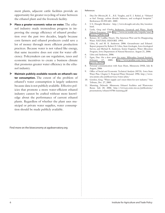ment plants, adjacent cattle facilities provide an opportunity for greater recycling of water between the ethanol plant and the livestock facility.

- **Place a greater economic value on water.** The ethanol industry made tremendous progress in improving the energy efficiency of ethanol production over the past two decades, largely because corn farmers and ethanol producers could save a lot of money through more efficient production practices. Because water is not valued like energy, that same incentive does not exist for water efficiency. Policymakers can use regulation, taxes and economic incentives to create a business climate that promotes greater water efficiency in the ethanol industry.
- **Maintain publicly available records on ethanol's water consumption.** The extent of the problem of ethanol's water consumption is largely unknown because data is not publicly available. Effective policies that promote a more water-efficient ethanol industry cannot be crafted without more knowledge about the performance of current ethanol plants. Regardless of whether the plant uses municipal or private water supplies, water consumption should be made publicly available.

Find more on the bioeconomy at agobservatory.org

#### References

- 1. Dias De Oliveira,M. E. , B.E. Vaughn, and E. J. Rykiel, jr. "Ethanol as fuel: Energy, carbon dioxide balances, and ecological footprint." BioSciences 55:593-601. 2005
- 2. U.S. Draught Monitor http://www.drought.unl.edu/dm/monitor. html.
- 3. Lardy, Greg and Charles Stoltenow, Livestock and Water. North Dakota Extension. 1999. [http://www.ext.nodak.edu/extpubs/ansci/](http://www.ext.nodak.edu/extpubs/ansci/livestoc/as954w.htm) [livestoc/as954w.htm](http://www.ext.nodak.edu/extpubs/ansci/livestoc/as954w.htm)
- 4. Reisner, M. Cadillac Desert, The American West and Its Disappearing Water. NATURAL HISTORY. 1993.
- 5. Libra, R. and M. K. Anderson. 2006. Groundwater and Ethanol. Report prepared by Robert D. Libra, State Geologist, Iowa Geological Survey, and Michael K. Anderson, Senior Engineer, Water Allocation Program, Iowa Department of Natural Resources. August 21, 2006.
- 6. Libra and Anderson, 2006.
- 7. Egan, Dan. On a slow quest for water. Milwaukee Journal Sentinel. February 17, 2005. [http://www.jsonline.com/story/index.](http://www.jsonline.com/story/index.aspx?id=302393) [aspx?id=302393](http://www.jsonline.com/story/index.aspx?id=302393)
- 8. Personal communication with Sean Hunt, Minnesota DNR, July & August, 2006
- 9. Office of Social and Economic Technical Analysis (SETA). Iowa State Water Plan. Chapter 5. Projected Water Demand. 1996. http://www. seta.iastate.edu/publicservices/water/plan/
- 10. Gordon, Greg. "Water supply can't meet thirst for new industry." Star Tribune, Dec. 27, 2005.
- 11. Manning, Deborah. Minnesota Ethanol Facilities and Wastewater Reuse. July 20, 2006. http://www.pca.state.mn.us/publications/ presentations/ethanol-0706-manning.pdf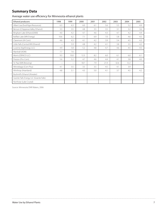## **Summary Data**

#### Average water use efficiency for Minnesota ethanol plants

| Ethanol producers                        | 1998 | 1999 | 2000 | 2001 | 2002 | 2003 | 2004 | 2005 |
|------------------------------------------|------|------|------|------|------|------|------|------|
| Albert Lea (Exol/Agra Resources)         | 6.3  | 6.3  | 6.0  | 6.1  | 5.6  | 5.5  | 5.2  | 4.9  |
| Benson (Chippewa Valley Ethanol)         | 3.3  | 3.5  | 4.8  | 3.5  | 3.5  | 3.1  | 3.2  | 3.6  |
| Bingham Lake (Ethanol2000)               | 4.0  | 4.2  | 4.7  | 4.6  | 4.3  | 4.7  | 4.2  | 4.4  |
| Buffalo Lake (MN Energy)                 | 10.6 | 6.2  | 7.1  | 6.9  | 7.0  | 5.8  | 4.6  | 4.5  |
| Claremont (Al-Corn)                      | 4.6  | 4.3  | 4.1  | 4.2  | 3.9  | 5.4  | 4.5  | 4.3  |
| Little Falls (Central MN Ethanol)        |      | 5.9  | 4.8  | 4.2  | 4.1  | 3.8  | 3.5  | 4.2  |
| Luverne (AgriEnergy LLC)                 | 4.9  | 5.8  | 5.2  | 4.8  | 4.7  | 4.6  | 4.5  | 4.5  |
| Marshall (ADM)                           | 7.7  | 7.6  |      |      |      |      |      |      |
| Morris (DENCO LLC)                       | 9.3  | 10.0 | 12.3 | 8.2  | 6.0  | 6.1  | 6.0  | 6.1  |
| Preston (Pro-Corn)                       | 5.6  | 5.2  | 4.7  | 4.6  | 4.4  | 4.1  | 3.8  | 4.0  |
| St. Paul (MN Brewing)                    |      |      | 18.7 | 7.9  | 21.9 | 32.6 | 12.2 |      |
| Winnebago (Corn Plus)                    | 4.1  | 3.5  | 3.5  | 3.5  | 4.5  | 4.1  | 3.9  |      |
| Winthrop (Heartland)                     | 4.8  | 5.1  | 4.3  | 5.0  | 4.1  | 3.7  | 4.5  | 4.2  |
| Bushmill's Ethanol (Atwater)             |      |      |      |      |      |      |      |      |
| Granite Falls Energy LLC (Granite Falls) |      |      |      |      |      |      |      |      |
| Northstar (Lake Crystal)                 |      |      |      |      |      |      |      |      |

Source: Minnesota DNR Waters, 2006